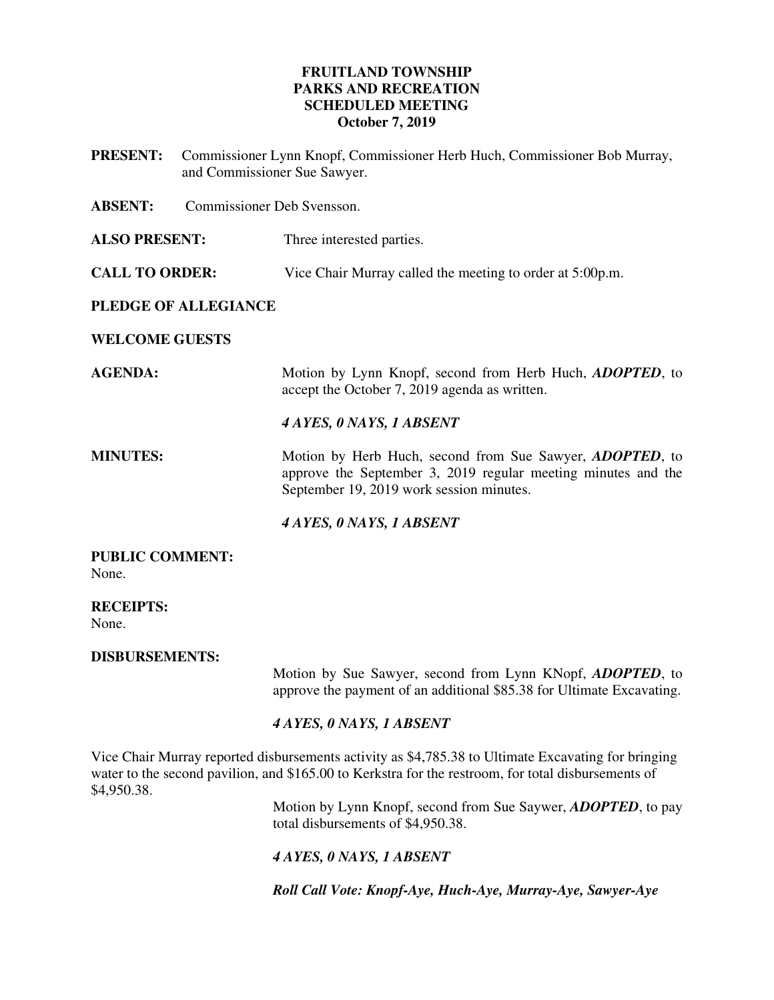### **FRUITLAND TOWNSHIP PARKS AND RECREATION SCHEDULED MEETING October 7, 2019**

**PRESENT:** Commissioner Lynn Knopf, Commissioner Herb Huch, Commissioner Bob Murray, and Commissioner Sue Sawyer. **ABSENT:** Commissioner Deb Svensson.

**ALSO PRESENT:** Three interested parties.

**CALL TO ORDER:** Vice Chair Murray called the meeting to order at 5:00p.m.

# **PLEDGE OF ALLEGIANCE**

**WELCOME GUESTS** 

**AGENDA:** Motion by Lynn Knopf, second from Herb Huch, *ADOPTED*, to accept the October 7, 2019 agenda as written.

### *4 AYES, 0 NAYS, 1 ABSENT*

**MINUTES:** Motion by Herb Huch, second from Sue Sawyer, *ADOPTED*, to approve the September 3, 2019 regular meeting minutes and the September 19, 2019 work session minutes.

*4 AYES, 0 NAYS, 1 ABSENT* 

**PUBLIC COMMENT:**  None.

**RECEIPTS:**  None.

**DISBURSEMENTS:** 

Motion by Sue Sawyer, second from Lynn KNopf, *ADOPTED*, to approve the payment of an additional \$85.38 for Ultimate Excavating.

# *4 AYES, 0 NAYS, 1 ABSENT*

Vice Chair Murray reported disbursements activity as \$4,785.38 to Ultimate Excavating for bringing water to the second pavilion, and \$165.00 to Kerkstra for the restroom, for total disbursements of \$4,950.38.

Motion by Lynn Knopf, second from Sue Saywer, *ADOPTED*, to pay total disbursements of \$4,950.38.

# *4 AYES, 0 NAYS, 1 ABSENT*

*Roll Call Vote: Knopf-Aye, Huch-Aye, Murray-Aye, Sawyer-Aye*